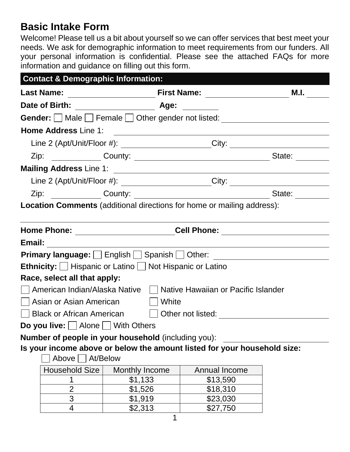# **Basic Intake Form**

Welcome! Please tell us a bit about yourself so we can offer services that best meet your needs. We ask for demographic information to meet requirements from our funders. All your personal information is confidential. Please see the attached FAQs for more information and guidance on filling out this form.

| <b>Contact &amp; Demographic Information:</b>                                                                   |                                                                                  |                                                                                  |      |  |
|-----------------------------------------------------------------------------------------------------------------|----------------------------------------------------------------------------------|----------------------------------------------------------------------------------|------|--|
| <b>Last Name:</b>                                                                                               |                                                                                  |                                                                                  | M.I. |  |
|                                                                                                                 |                                                                                  |                                                                                  |      |  |
| Gender: Male Female Other gender not listed: ___________________________________                                |                                                                                  |                                                                                  |      |  |
| <b>Home Address Line 1:</b>                                                                                     | <u> 1980 - Johann Barnett, fransk politik (d. 1980)</u>                          |                                                                                  |      |  |
|                                                                                                                 | Line 2 (Apt/Unit/Floor #): _______________________City: ________________________ |                                                                                  |      |  |
|                                                                                                                 |                                                                                  |                                                                                  |      |  |
| Mailing Address Line 1: 2008 2014 2020 2021 2021 2022 2022 2023 2024 2022 2023 2024 2022 2023 2024 2022 2023 20 |                                                                                  |                                                                                  |      |  |
|                                                                                                                 |                                                                                  | Line 2 (Apt/Unit/Floor #): _______________________City: ________________________ |      |  |
|                                                                                                                 |                                                                                  |                                                                                  |      |  |
| <b>Location Comments</b> (additional directions for home or mailing address):                                   |                                                                                  |                                                                                  |      |  |
|                                                                                                                 |                                                                                  |                                                                                  |      |  |
| Home Phone: ______________________Cell Phone: __________________________________                                |                                                                                  |                                                                                  |      |  |
|                                                                                                                 |                                                                                  |                                                                                  |      |  |
|                                                                                                                 |                                                                                  |                                                                                  |      |  |
| <b>Ethnicity:</b> $\Box$ Hispanic or Latino $\Box$ Not Hispanic or Latino                                       |                                                                                  |                                                                                  |      |  |
| Race, select all that apply:                                                                                    |                                                                                  |                                                                                  |      |  |
| American Indian/Alaska Native     Native Hawaiian or Pacific Islander                                           |                                                                                  |                                                                                  |      |  |
| Asian or Asian American     White                                                                               |                                                                                  |                                                                                  |      |  |
|                                                                                                                 |                                                                                  | Black or African American   Cother not listed: Communication                     |      |  |
| <b>Do you live:</b> $\Box$ Alone $\Box$ With Others                                                             |                                                                                  |                                                                                  |      |  |
| Number of people in your household (including you):                                                             |                                                                                  |                                                                                  |      |  |
| Is your income above or below the amount listed for your household size:                                        |                                                                                  |                                                                                  |      |  |
| Above $\Box$                                                                                                    | At/Below                                                                         |                                                                                  |      |  |
| <b>Household Size</b>                                                                                           | <b>Monthly Income</b>                                                            | Annual Income                                                                    |      |  |
|                                                                                                                 | \$1,133                                                                          | \$13,590                                                                         |      |  |
| $\overline{2}$                                                                                                  | \$1,526                                                                          | \$18,310                                                                         |      |  |
| $\mathfrak{S}% _{CS}^{ab}(A)$                                                                                   | \$1,919                                                                          | \$23,030                                                                         |      |  |
| 4                                                                                                               | \$2,313                                                                          | \$27,750                                                                         |      |  |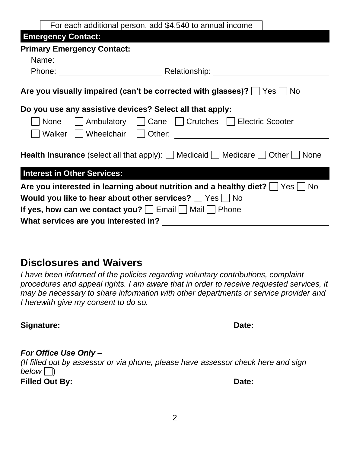| For each additional person, add \$4,540 to annual income                                                            |  |  |  |
|---------------------------------------------------------------------------------------------------------------------|--|--|--|
| <b>Emergency Contact:</b>                                                                                           |  |  |  |
| <b>Primary Emergency Contact:</b>                                                                                   |  |  |  |
| Name:                                                                                                               |  |  |  |
| <b>Example 2018 Relationship:</b> The Relationship:<br>Phone:                                                       |  |  |  |
| Are you visually impaired (can't be corrected with glasses)?     Yes     No                                         |  |  |  |
| Do you use any assistive devices? Select all that apply:                                                            |  |  |  |
| Ambulatory     Cane     Crutches     Electric Scooter<br><b>None</b>                                                |  |  |  |
| Walker<br>Wheelchair<br>Other:                                                                                      |  |  |  |
| <b>Health Insurance</b> (select all that apply): $\Box$ Medicaid $\Box$ Medicare $\Box$ Other $\Box$<br><b>None</b> |  |  |  |
| <b>Interest in Other Services:</b>                                                                                  |  |  |  |
| Are you interested in learning about nutrition and a healthy diet?   Yes   No                                       |  |  |  |
| Would you like to hear about other services?     Yes     No                                                         |  |  |  |
| If yes, how can we contact you? $\vert$   Email $\vert$   Mail     Phone                                            |  |  |  |
| What services are you interested in?                                                                                |  |  |  |
|                                                                                                                     |  |  |  |

## **Disclosures and Waivers**

*I have been informed of the policies regarding voluntary contributions, complaint procedures and appeal rights. I am aware that in order to receive requested services, it may be necessary to share information with other departments or service provider and I herewith give my consent to do so.* 

**Signature:** Date: Date: Date: Date: Date: Date: Date: Date: Date: Date: Date: Date: Date: Date: Date: Date: Date: Date: Date: Date: Date: Date: Date: Date: Date: Date: Date: Date: Date: Date: Date: Date: Date: Date: Date:

#### *For Office Use Only –*

*(If filled out by assessor or via phone, please have assessor check here and sign below*  $\Box$ **Filled Out By: Date:**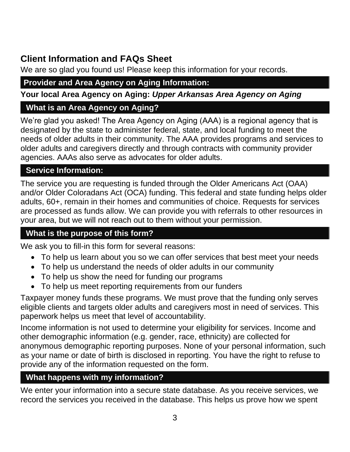## **Client Information and FAQs Sheet**

We are so glad you found us! Please keep this information for your records.

## **Provider and Area Agency on Aging Information:**

**Your local Area Agency on Aging:** *Upper Arkansas Area Agency on Aging*

#### **What is an Area Agency on Aging?**

We're glad you asked! The Area Agency on Aging (AAA) is a regional agency that is designated by the state to administer federal, state, and local funding to meet the needs of older adults in their community. The AAA provides programs and services to older adults and caregivers directly and through contracts with community provider agencies. AAAs also serve as advocates for older adults.

## **Service Information:**

The service you are requesting is funded through the Older Americans Act (OAA) and/or Older Coloradans Act (OCA) funding. This federal and state funding helps older adults, 60+, remain in their homes and communities of choice. Requests for services are processed as funds allow. We can provide you with referrals to other resources in your area, but we will not reach out to them without your permission.

## **What is the purpose of this form?**

We ask you to fill-in this form for several reasons:

- To help us learn about you so we can offer services that best meet your needs
- To help us understand the needs of older adults in our community
- To help us show the need for funding our programs
- To help us meet reporting requirements from our funders

Taxpayer money funds these programs. We must prove that the funding only serves eligible clients and targets older adults and caregivers most in need of services. This paperwork helps us meet that level of accountability.

Income information is not used to determine your eligibility for services. Income and other demographic information (e.g. gender, race, ethnicity) are collected for anonymous demographic reporting purposes. None of your personal information, such as your name or date of birth is disclosed in reporting. You have the right to refuse to provide any of the information requested on the form.

#### **What happens with my information?**

We enter your information into a secure state database. As you receive services, we record the services you received in the database. This helps us prove how we spent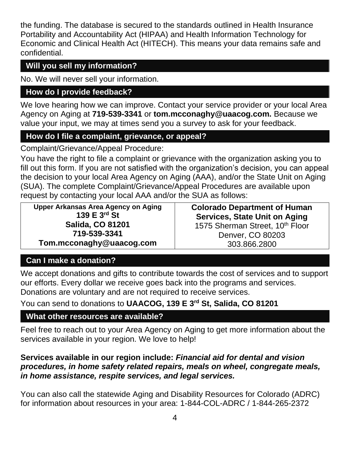the funding. The database is secured to the standards outlined in Health Insurance Portability and Accountability Act (HIPAA) and Health Information Technology for Economic and Clinical Health Act (HITECH). This means your data remains safe and confidential.

### **Will you sell my information?**

No. We will never sell your information.

## **How do I provide feedback?**

We love hearing how we can improve. Contact your service provider or your local Area Agency on Aging at **719-539-3341** or **tom.mcconaghy@uaacog.com.** Because we value your input, we may at times send you a survey to ask for your feedback.

## **How do I file a complaint, grievance, or appeal?**

Complaint/Grievance/Appeal Procedure:

You have the right to file a complaint or grievance with the organization asking you to fill out this form. If you are not satisfied with the organization's decision, you can appeal the decision to your local Area Agency on Aging (AAA), and/or the State Unit on Aging (SUA). The complete Complaint/Grievance/Appeal Procedures are available upon request by contacting your local AAA and/or the SUA as follows:

**Upper Arkansas Area Agency on Aging 139 E 3rd St Salida, CO 81201 719-539-3341 Tom.mcconaghy@uaacog.com**

**Colorado Department of Human Services, State Unit on Aging** 1575 Sherman Street, 10<sup>th</sup> Floor Denver, CO 80203 303.866.2800

## **Can I make a donation?**

We accept donations and gifts to contribute towards the cost of services and to support our efforts. Every dollar we receive goes back into the programs and services. Donations are voluntary and are not required to receive services.

You can send to donations to **UAACOG, 139 E 3rd St, Salida, CO 81201**

## **What other resources are available?**

Feel free to reach out to your Area Agency on Aging to get more information about the services available in your region. We love to help!

#### **Services available in our region include:** *Financial aid for dental and vision procedures, in home safety related repairs, meals on wheel, congregate meals, in home assistance, respite services, and legal services.*

You can also call the statewide Aging and Disability Resources for Colorado (ADRC) for information about resources in your area: 1-844-COL-ADRC / 1-844-265-2372